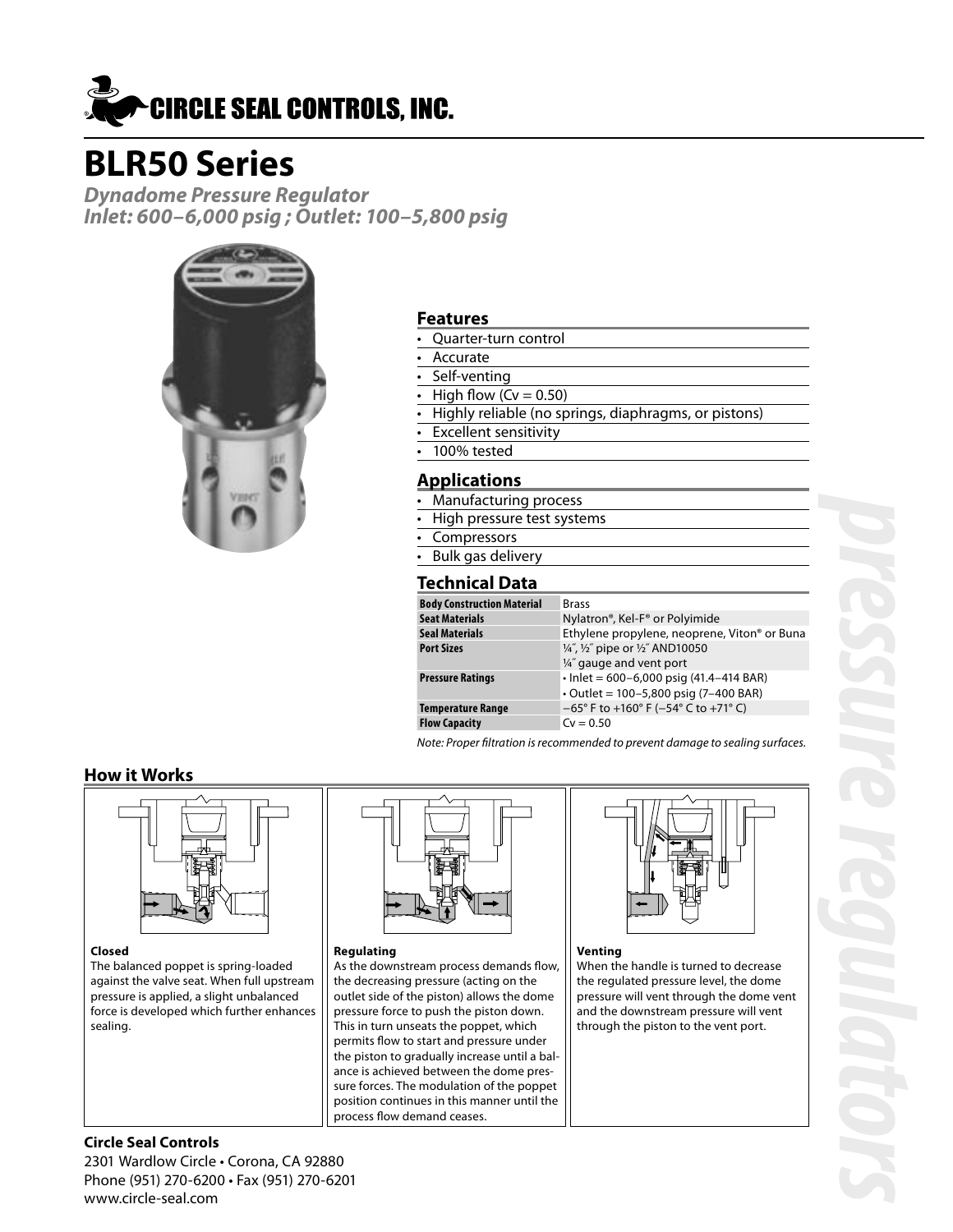

# **BLR50 Series**

**Dynadome Pressure Regulator Inlet: 600–6,000 psig ; Outlet: 100–5,800 psig**



### **Features**

- Quarter-turn control
- **Accurate**
- Self-venting
- High flow  $(Cv = 0.50)$
- Highly reliable (no springs, diaphragms, or pistons)
- Excellent sensitivity
- 100% tested

## **Applications**

- Manufacturing process
- High pressure test systems
- Compressors
- Bulk gas delivery

## **Technical Data**

| <b>Brass</b>                                             |
|----------------------------------------------------------|
| Nylatron®, Kel-F® or Polyimide                           |
| Ethylene propylene, neoprene, Viton <sup>®</sup> or Buna |
| 1/4", 1/2" pipe or 1/2" AND10050                         |
| 1/4" gauge and vent port                                 |
| $\cdot$ lnlet = 600-6,000 psig (41.4-414 BAR)            |
| $\cdot$ Outlet = 100-5,800 psig (7-400 BAR)              |
| $-65^{\circ}$ F to +160° F (-54° C to +71° C)            |
| $Cv = 0.50$                                              |
|                                                          |

Note: Proper filtration is recommended to prevent damage to sealing surfaces.

## **How it Works**



#### **Closed**

The balanced poppet is spring-loaded against the valve seat. When full upstream pressure is applied, a slight unbalanced force is developed which further enhances sealing.



As the downstream process demands flow, the decreasing pressure (acting on the outlet side of the piston) allows the dome pressure force to push the piston down. This in turn unseats the poppet, which permits flow to start and pressure under the piston to gradually increase until a balance is achieved between the dome pressure forces. The modulation of the poppet position continues in this manner until the

process flow demand ceases.

**Regulating**



#### **Venting**

When the handle is turned to decrease the regulated pressure level, the dome pressure will vent through the dome vent and the downstream pressure will vent through the piston to the vent port.

## **Circle Seal Controls**

2301 Wardlow Circle • Corona, CA 92880 Phone (951) 270-6200 • Fax (951) 270-6201 www.circle-seal.com